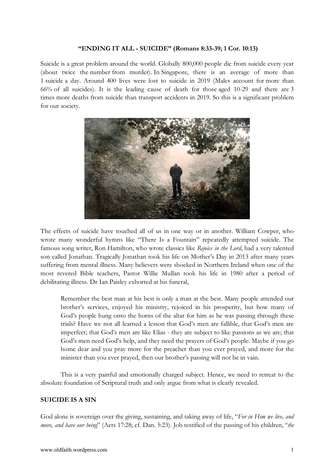#### **"ENDING IT ALL - SUICIDE" (Romans 8:33-39; 1 Cor. 10:13)**

Suicide is a great problem around the world. Globally 800,000 people die from suicide every year (about twice the number from murder). In Singapore, there is an average of more than 1 suicide a day. Around 400 lives were lost to suicide in 2019 (Males account for more than 66% of all suicides). It is the leading cause of death for those aged 10-29 and there are 3 times more deaths from suicide than transport accidents in 2019. So this is a significant problem for our society.



The effects of suicide have touched all of us in one way or in another. William Cowper, who wrote many wonderful hymns like "There Is a Fountain" repeatedly attempted suicide. The famous song writer, Ron Hamilton, who wrote classics like *Rejoice in the Lord*, had a very talented son called Jonathan. Tragically Jonathan took his life on Mother's Day in 2013 after many years suffering from mental illness. Many believers were shocked in Northern Ireland when one of the most revered Bible teachers, Pastor Willie Mullan took his life in 1980 after a period of debilitating illness. Dr Ian Paisley exhorted at his funeral,

Remember the best man at his best is only a man at the best. Many people attended our brother's services, enjoyed his ministry, rejoiced in his prosperity, but how many of God's people hung onto the horns of the altar for him as he was passing through these trials? Have we not all learned a lesson that God's men are fallible, that God's men are imperfect; that God's men are like Elias - they are subject to like passions as we are; that God's men need God's help, and they need the prayers of God's people. Maybe if you go home dear and you pray more for the preacher than you ever prayed, and more for the minister than you ever prayed, then our brother's passing will not be in vain.

This is a very painful and emotionally charged subject. Hence, we need to retreat to the absolute foundation of Scriptural truth and only argue from what is clearly revealed.

#### **SUICIDE IS A SIN**

God alone is sovereign over the giving, sustaining, and taking away of life, "*For in Him we live, and move, and have our being*" (Acts 17:28; cf. Dan. 5:23). Job testified of the passing of his children, "*the*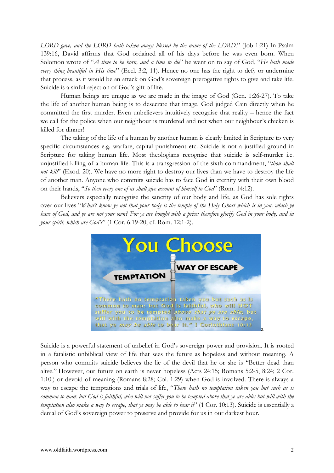*LORD gave, and the LORD hath taken away; blessed be the name of the LORD*." (Job 1:21) In Psalm 139:16, David affirms that God ordained all of his days before he was even born. When Solomon wrote of "*A time to be born, and a time to die*" he went on to say of God, "*He hath made every thing beautiful in His time*" (Eccl. 3:2, 11). Hence no one has the right to defy or undermine that process, as it would be an attack on God's sovereign prerogative rights to give and take life. Suicide is a sinful rejection of God's gift of life.

Human beings are unique as we are made in the image of God (Gen. 1:26-27). To take the life of another human being is to desecrate that image. God judged Cain directly when he committed the first murder. Even unbelievers intuitively recognise that reality – hence the fact we call for the police when our neighbour is murdered and not when our neighbour's chicken is killed for dinner!

The taking of the life of a human by another human is clearly limited in Scripture to very specific circumstances e.g. warfare, capital punishment etc. Suicide is not a justified ground in Scripture for taking human life. Most theologians recognise that suicide is self-murder i.e. unjustified killing of a human life. This is a transgression of the sixth commandment, "*thou shalt not kill*" (Exod. 20). We have no more right to destroy our lives than we have to destroy the life of another man. Anyone who commits suicide has to face God in eternity with their own blood on their hands, "*So then every one of us shall give account of himself to God*" (Rom. 14:12).

Believers especially recognise the sanctity of our body and life, as God has sole rights over our lives "*What? know ye not that your body is the temple of the Holy Ghost which is in you, which ye have of God, and ye are not your own? For ye are bought with a price: therefore glorify God in your body, and in your spirit, which are God's*" (1 Cor. 6:19-20; cf. Rom. 12:1-2).



Suicide is a powerful statement of unbelief in God's sovereign power and provision. It is rooted in a fatalistic unbiblical view of life that sees the future as hopeless and without meaning. A person who commits suicide believes the lie of the devil that he or she is "Better dead than alive." However, our future on earth is never hopeless (Acts 24:15; Romans 5:2-5, 8:24; 2 Cor. 1:10.) or devoid of meaning (Romans 8:28; Col. 1:29) when God is involved. There is always a way to escape the temptations and trials of life, "*There hath no temptation taken you but such as is common to man: but God is faithful, who will not suffer you to be tempted above that ye are able; but will with the temptation also make a way to escape, that ye may be able to bear it*" (1 Cor. 10:13). Suicide is essentially a denial of God's sovereign power to preserve and provide for us in our darkest hour.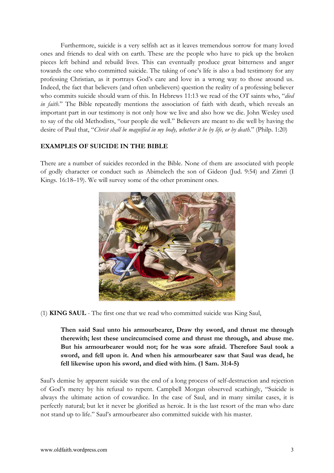Furthermore, suicide is a very selfish act as it leaves tremendous sorrow for many loved ones and friends to deal with on earth. These are the people who have to pick up the broken pieces left behind and rebuild lives. This can eventually produce great bitterness and anger towards the one who committed suicide. The taking of one's life is also a bad testimony for any professing Christian, as it portrays God's care and love in a wrong way to those around us. Indeed, the fact that believers (and often unbelievers) question the reality of a professing believer who commits suicide should warn of this. In Hebrews 11:13 we read of the OT saints who, "*died in faith*." The Bible repeatedly mentions the association of faith with death, which reveals an important part in our testimony is not only how we live and also how we die. John Wesley used to say of the old Methodists, "our people die well." Believers are meant to die well by having the desire of Paul that, "*Christ shall be magnified in my body, whether it be by life, or by death.*" (Philp. 1:20)

### **EXAMPLES OF SUICIDE IN THE BIBLE**

There are a number of suicides recorded in the Bible. None of them are associated with people of godly character or conduct such as Abimelech the son of Gideon (Jud. 9:54) and Zimri (I Kings. 16:18–19). We will survey some of the other prominent ones.



(1) **KING SAUL** - The first one that we read who committed suicide was King Saul,

**Then said Saul unto his armourbearer, Draw thy sword, and thrust me through therewith; lest these uncircumcised come and thrust me through, and abuse me. But his armourbearer would not; for he was sore afraid. Therefore Saul took a sword, and fell upon it. And when his armourbearer saw that Saul was dead, he fell likewise upon his sword, and died with him. (1 Sam. 31:4-5)**

Saul's demise by apparent suicide was the end of a long process of self-destruction and rejection of God's mercy by his refusal to repent. Campbell Morgan observed scathingly, "Suicide is always the ultimate action of cowardice. In the case of Saul, and in many similar cases, it is perfectly natural; but let it never be glorified as heroic. It is the last resort of the man who dare not stand up to life." Saul's armourbearer also committed suicide with his master.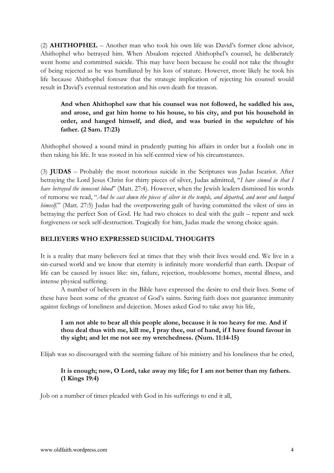(2) **AHITHOPHEL** – Another man who took his own life was David's former close advisor, Ahithophel who betrayed him. When Absalom rejected Ahithophel's counsel, he deliberately went home and committed suicide. This may have been because he could not take the thought of being rejected as he was humiliated by his loss of stature. However, more likely he took his life because Ahithophel foresaw that the strategic implication of rejecting his counsel would result in David's eventual restoration and his own death for treason.

**And when Ahithophel saw that his counsel was not followed, he saddled his ass, and arose, and gat him home to his house, to his city, and put his household in order, and hanged himself, and died, and was buried in the sepulchre of his father. (2 Sam. 17:23)**

Ahithophel showed a sound mind in prudently putting his affairs in order but a foolish one in then taking his life. It was rooted in his self-centred view of his circumstances.

(3) **JUDAS** – Probably the most notorious suicide in the Scriptures was Judas Iscariot. After betraying the Lord Jesus Christ for thirty pieces of silver, Judas admitted, "*I have sinned in that I have betrayed the innocent blood*" (Matt. 27:4). However, when the Jewish leaders dismissed his words of remorse we read, "*And he cast down the pieces of silver in the temple, and departed, and went and hanged himself*." (Matt. 27:5) Judas had the overpowering guilt of having committed the vilest of sins in betraying the perfect Son of God. He had two choices to deal with the guilt – repent and seek forgiveness or seek self-destruction. Tragically for him, Judas made the wrong choice again.

#### **BELIEVERS WHO EXPRESSED SUICIDAL THOUGHTS**

It is a reality that many believers feel at times that they wish their lives would end. We live in a sin-cursed world and we know that eternity is infinitely more wonderful than earth. Despair of life can be caused by issues like: sin, failure, rejection, troublesome homes, mental illness, and intense physical suffering.

A number of believers in the Bible have expressed the desire to end their lives. Some of these have been some of the greatest of God's saints. Saving faith does not guarantee immunity against feelings of loneliness and dejection. Moses asked God to take away his life,

### **I am not able to bear all this people alone, because it is too heavy for me. And if thou deal thus with me, kill me, I pray thee, out of hand, if I have found favour in thy sight; and let me not see my wretchedness. (Num. 11:14-15)**

Elijah was so discouraged with the seeming failure of his ministry and his loneliness that he cried,

### **It is enough; now, O Lord, take away my life; for I am not better than my fathers. (1 Kings 19:4)**

Job on a number of times pleaded with God in his sufferings to end it all,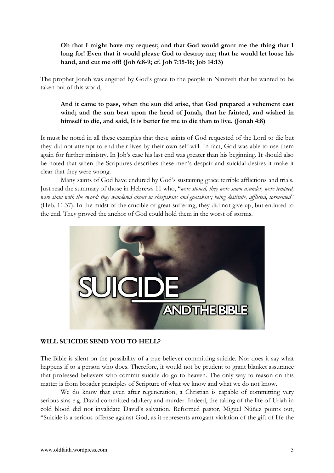## **Oh that I might have my request; and that God would grant me the thing that I long for! Even that it would please God to destroy me; that he would let loose his hand, and cut me off! (Job 6:8-9; cf. Job 7:15-16; Job 14:13)**

The prophet Jonah was angered by God's grace to the people in Nineveh that he wanted to be taken out of this world,

# **And it came to pass, when the sun did arise, that God prepared a vehement east wind; and the sun beat upon the head of Jonah, that he fainted, and wished in himself to die, and said, It is better for me to die than to live. (Jonah 4:8)**

It must be noted in all these examples that these saints of God requested of the Lord to die but they did not attempt to end their lives by their own self-will. In fact, God was able to use them again for further ministry. In Job's case his last end was greater than his beginning. It should also be noted that when the Scriptures describes these men's despair and suicidal desires it make it clear that they were wrong.

Many saints of God have endured by God's sustaining grace terrible afflictions and trials. Just read the summary of those in Hebrews 11 who, "*were stoned, they were sawn asunder, were tempted, were slain with the sword: they wandered about in sheepskins and goatskins; being destitute, afflicted, tormented*" (Heb. 11:37). In the midst of the crucible of great suffering, they did not give up, but endured to the end. They proved the anchor of God could hold them in the worst of storms.



### **WILL SUICIDE SEND YOU TO HELL?**

The Bible is silent on the possibility of a true believer committing suicide. Nor does it say what happens if to a person who does. Therefore, it would not be prudent to grant blanket assurance that professed believers who commit suicide do go to heaven. The only way to reason on this matter is from broader principles of Scripture of what we know and what we do not know.

We do know that even after regeneration, a Christian is capable of committing very serious sins e.g. David committed adultery and murder. Indeed, the taking of the life of Uriah in cold blood did not invalidate David's salvation. Reformed pastor, Miguel Núñez points out, "Suicide is a serious offense against God, as it represents arrogant violation of the gift of life the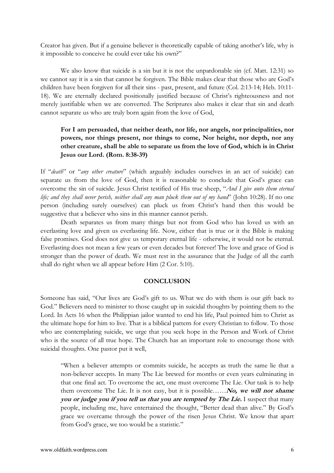Creator has given. But if a genuine believer is theoretically capable of taking another's life, why is it impossible to conceive he could ever take his own?"

We also know that suicide is a sin but it is not the unpardonable sin (cf. Matt. 12:31) so we cannot say it is a sin that cannot be forgiven. The Bible makes clear that those who are God's children have been forgiven for all their sins - past, present, and future (Col. 2:13-14; Heb. 10:11- 18). We are eternally declared positionally justified because of Christ's righteousness and not merely justifiable when we are converted. The Scriptures also makes it clear that sin and death cannot separate us who are truly born again from the love of God,

# **For I am persuaded, that neither death, nor life, nor angels, nor principalities, nor powers, nor things present, nor things to come, Nor height, nor depth, nor any other creature, shall be able to separate us from the love of God, which is in Christ Jesus our Lord. (Rom. 8:38-39)**

If "*death*" or "*any other creature*" (which arguably includes ourselves in an act of suicide) can separate us from the love of God, then it is reasonable to conclude that God's grace can overcome the sin of suicide. Jesus Christ testified of His true sheep, "*And I give unto them eternal life; and they shall never perish, neither shall any man pluck them out of my hand*" (John 10:28). If no one person (including surely ourselves) can pluck us from Christ's hand then this would be suggestive that a believer who sins in this manner cannot perish.

Death separates us from many things but not from God who has loved us with an everlasting love and given us everlasting life. Now, either that is true or it the Bible is making false promises. God does not give us temporary eternal life - otherwise, it would not be eternal. Everlasting does not mean a few years or even decades but forever! The love and grace of God is stronger than the power of death. We must rest in the assurance that the Judge of all the earth shall do right when we all appear before Him (2 Cor. 5:10).

#### **CONCLUSION**

Someone has said, "Our lives are God's gift to us. What we do with them is our gift back to God." Believers need to minister to those caught up in suicidal thoughts by pointing them to the Lord. In Acts 16 when the Philippian jailor wanted to end his life, Paul pointed him to Christ as the ultimate hope for him to live. That is a biblical pattern for every Christian to follow. To those who are contemplating suicide, we urge that you seek hope in the Person and Work of Christ who is the source of all true hope. The Church has an important role to encourage those with suicidal thoughts. One pastor put it well,

"When a believer attempts or commits suicide, he accepts as truth the same lie that a non-believer accepts. In many The Lie brewed for months or even years culminating in that one final act. To overcome the act, one must overcome The Lie. Our task is to help them overcome The Lie. It is not easy, but it is possible……**No, we will not shame you or judge you if you tell us that you are tempted by The Lie.** I suspect that many people, including me, have entertained the thought, "Better dead than alive." By God's grace we overcame through the power of the risen Jesus Christ. We know that apart from God's grace, we too would be a statistic."